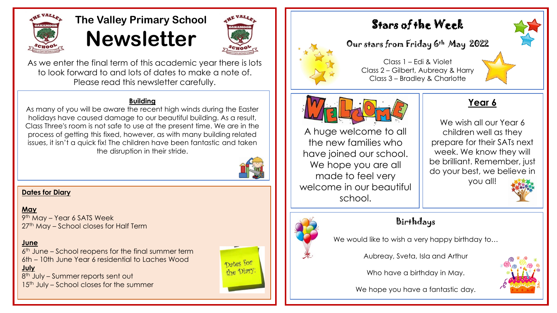

### **The Valley Primary School Newsletter**



As we enter the final term of this academic year there is lots to look forward to and lots of dates to make a note of. Please read this newsletter carefully.

#### **Building**

As many of you will be aware the recent high winds during the Easter holidays have caused damage to our beautiful building. As a result, Class Three's room is not safe to use at the present time. We are in the process of getting this fixed, however, as with many building related issues, it isn't a quick fix! The children have been fantastic and taken the disruption in their stride.



#### **Dates for Diary**

**May**

9 th May – Year 6 SATS Week 27<sup>th</sup> May – School closes for Half Term

#### **June**

6 th June – School reopens for the final summer term 6th – 10th June Year 6 residential to Laches Wood **July**

8<sup>th</sup> July – Summer reports sent out 15<sup>th</sup> July – School closes for the summer







#### Our stars from Friday 6th May 2022

Class 1 – Edi & Violet Class 2 – Gilbert, Aubreay & Harry Class 3 – Bradley & Charlotte



A huge welcome to all the new families who have joined our school. We hope you are all made to feel very welcome in our beautiful school.

#### **Year 6**

We wish all our Year 6 children well as they prepare for their SATs next week. We know they will be brilliant. Remember, just do your best, we believe in you all!



#### Birthdays

We would like to wish a very happy birthday to...

Aubreay, Sveta, Isla and Arthur

Who have a birthday in May.



We hope you have a fantastic day.